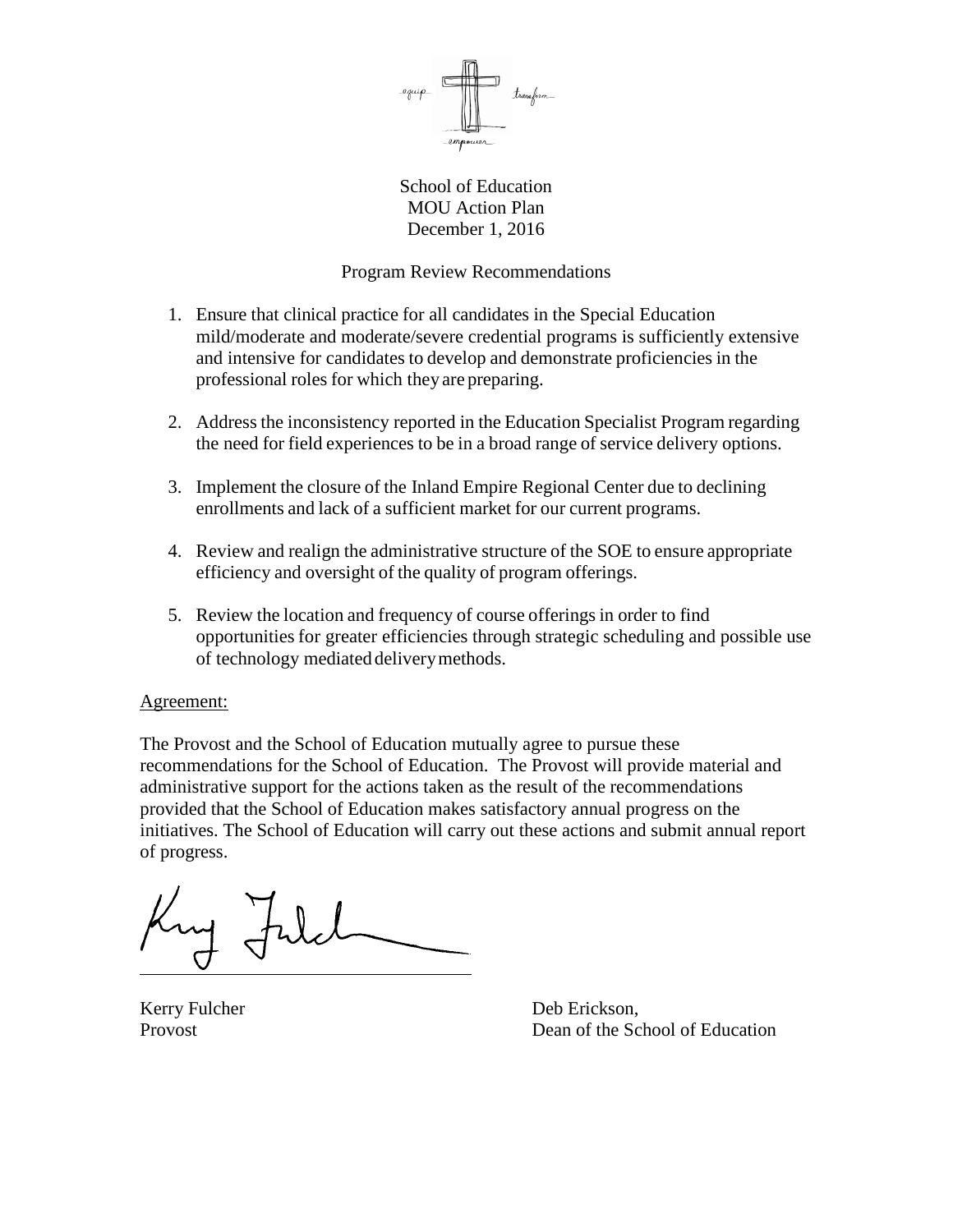

School of Education MOU Action Plan December 1, 2016

# Program Review Recommendations

- 1. Ensure that clinical practice for all candidates in the Special Education mild/moderate and moderate/severe credential programs is sufficiently extensive and intensive for candidates to develop and demonstrate proficiencies in the professional roles for which they are preparing.
- 2. Address the inconsistency reported in the Education Specialist Program regarding the need for field experiences to be in a broad range of service delivery options.
- 3. Implement the closure of the Inland Empire Regional Center due to declining enrollments and lack of a sufficient market for our current programs.
- 4. Review and realign the administrative structure of the SOE to ensure appropriate efficiency and oversight of the quality of program offerings.
- 5. Review the location and frequency of course offerings in order to find opportunities for greater efficiencies through strategic scheduling and possible use of technology mediated deliverymethods.

## Agreement:

The Provost and the School of Education mutually agree to pursue these recommendations for the School of Education. The Provost will provide material and administrative support for the actions taken as the result of the recommendations provided that the School of Education makes satisfactory annual progress on the initiatives. The School of Education will carry out these actions and submit annual report of progress.

Kerry Fulcher Deb Erickson, Provost **Dean of the School of Education**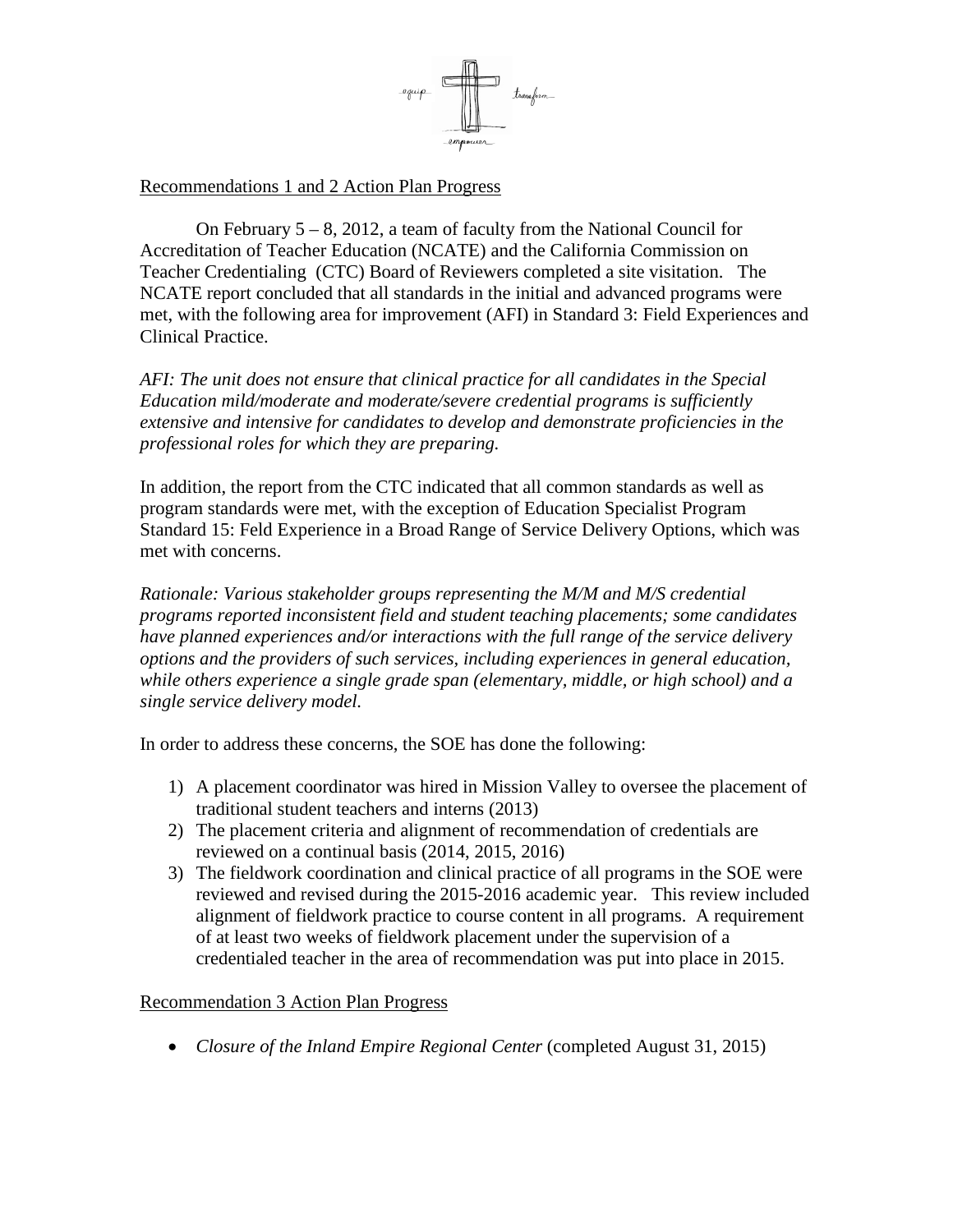

# Recommendations 1 and 2 Action Plan Progress

On February 5 – 8, 2012, a team of faculty from the National Council for Accreditation of Teacher Education (NCATE) and the California Commission on Teacher Credentialing (CTC) Board of Reviewers completed a site visitation. The NCATE report concluded that all standards in the initial and advanced programs were met, with the following area for improvement (AFI) in Standard 3: Field Experiences and Clinical Practice.

*AFI: The unit does not ensure that clinical practice for all candidates in the Special Education mild/moderate and moderate/severe credential programs is sufficiently extensive and intensive for candidates to develop and demonstrate proficiencies in the professional roles for which they are preparing.*

In addition, the report from the CTC indicated that all common standards as well as program standards were met, with the exception of Education Specialist Program Standard 15: Feld Experience in a Broad Range of Service Delivery Options, which was met with concerns.

*Rationale: Various stakeholder groups representing the M/M and M/S credential programs reported inconsistent field and student teaching placements; some candidates have planned experiences and/or interactions with the full range of the service delivery options and the providers of such services, including experiences in general education, while others experience a single grade span (elementary, middle, or high school) and a single service delivery model.*

In order to address these concerns, the SOE has done the following:

- 1) A placement coordinator was hired in Mission Valley to oversee the placement of traditional student teachers and interns (2013)
- 2) The placement criteria and alignment of recommendation of credentials are reviewed on a continual basis (2014, 2015, 2016)
- 3) The fieldwork coordination and clinical practice of all programs in the SOE were reviewed and revised during the 2015-2016 academic year. This review included alignment of fieldwork practice to course content in all programs. A requirement of at least two weeks of fieldwork placement under the supervision of a credentialed teacher in the area of recommendation was put into place in 2015.

## Recommendation 3 Action Plan Progress

• *Closure of the Inland Empire Regional Center* (completed August 31, 2015)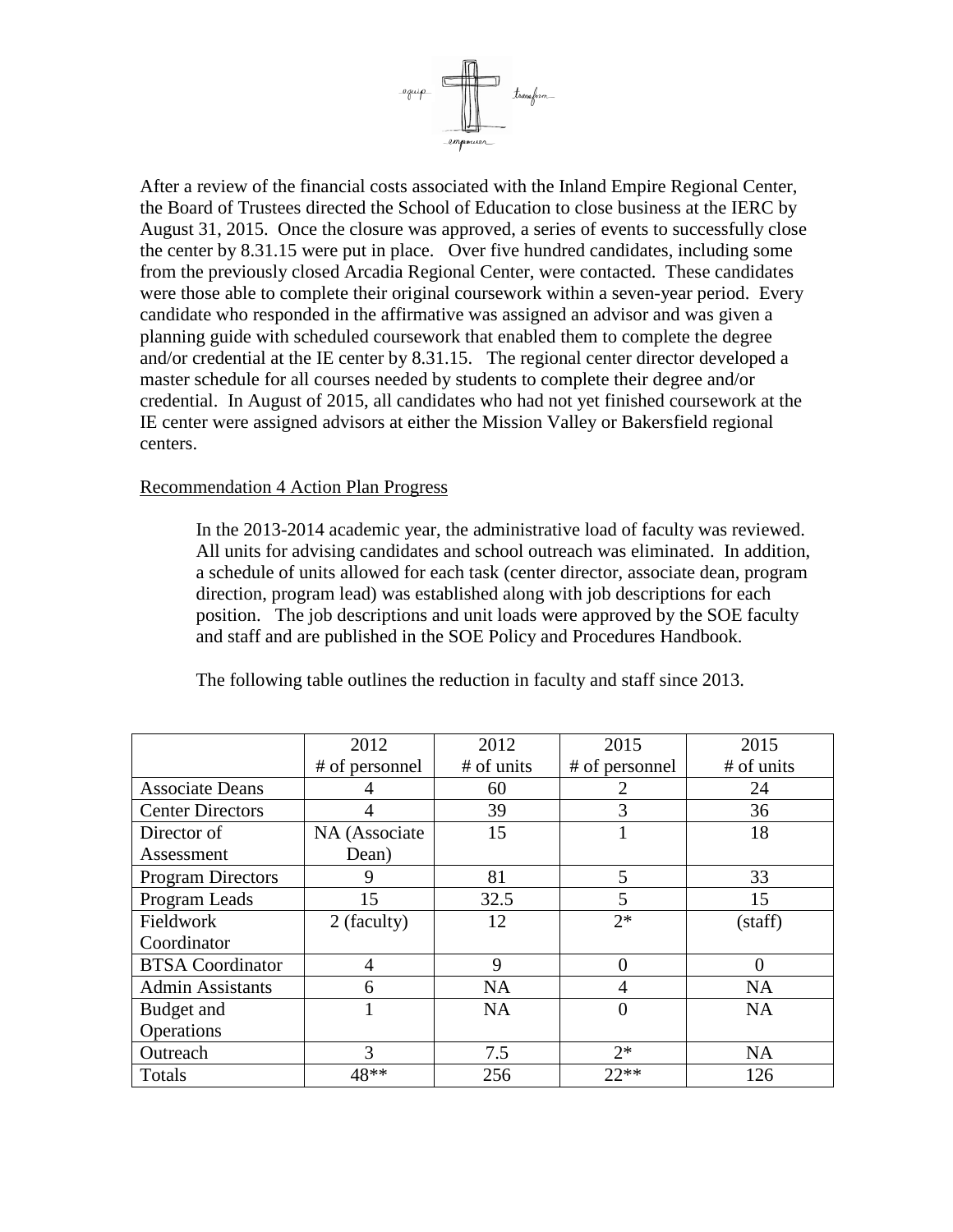

After a review of the financial costs associated with the Inland Empire Regional Center, the Board of Trustees directed the School of Education to close business at the IERC by August 31, 2015. Once the closure was approved, a series of events to successfully close the center by 8.31.15 were put in place. Over five hundred candidates, including some from the previously closed Arcadia Regional Center, were contacted. These candidates were those able to complete their original coursework within a seven-year period. Every candidate who responded in the affirmative was assigned an advisor and was given a planning guide with scheduled coursework that enabled them to complete the degree and/or credential at the IE center by 8.31.15. The regional center director developed a master schedule for all courses needed by students to complete their degree and/or credential. In August of 2015, all candidates who had not yet finished coursework at the IE center were assigned advisors at either the Mission Valley or Bakersfield regional centers.

## Recommendation 4 Action Plan Progress

In the 2013-2014 academic year, the administrative load of faculty was reviewed. All units for advising candidates and school outreach was eliminated. In addition, a schedule of units allowed for each task (center director, associate dean, program direction, program lead) was established along with job descriptions for each position. The job descriptions and unit loads were approved by the SOE faculty and staff and are published in the SOE Policy and Procedures Handbook.

|                          | 2012           | 2012       | 2015           | 2015       |
|--------------------------|----------------|------------|----------------|------------|
|                          | # of personnel | # of units | # of personnel | # of units |
| <b>Associate Deans</b>   |                | 60         | 2              | 24         |
| <b>Center Directors</b>  | 4              | 39         | 3              | 36         |
| Director of              | NA (Associate  | 15         |                | 18         |
| Assessment               | Dean)          |            |                |            |
| <b>Program Directors</b> | 9              | 81         | 5              | 33         |
| Program Leads            | 15             | 32.5       | 5              | 15         |
| Fieldwork                | 2 (faculty)    | 12         | $2*$           | (staff)    |
| Coordinator              |                |            |                |            |
| <b>BTSA</b> Coordinator  | 4              | 9          | $\overline{0}$ | 0          |
| <b>Admin Assistants</b>  | 6              | <b>NA</b>  | 4              | <b>NA</b>  |
| Budget and               |                | <b>NA</b>  | $\overline{0}$ | <b>NA</b>  |
| Operations               |                |            |                |            |
| Outreach                 | 3              | 7.5        | $2*$           | <b>NA</b>  |
| Totals                   | 48**           | 256        | $22**$         | 126        |

The following table outlines the reduction in faculty and staff since 2013.